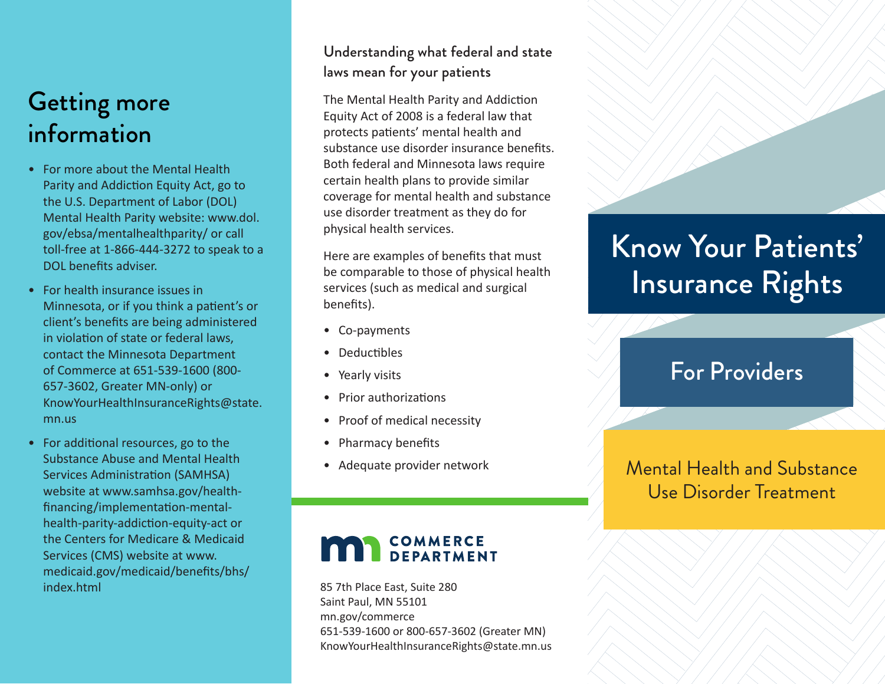## Getting more information

- For more about the Mental Health Parity and Addiction Equity Act, go to the U.S. Department of Labor (DOL) Mental Health Parity website: www.dol. gov/ebsa/mentalhealthparity/ or call toll-free at 1-866-444-3272 to speak to a DOL benefits adviser.
- For health insurance issues in Minnesota, or if you think a patient's or client's benefits are being administered in violation of state or federal laws, contact the Minnesota Department of Commerce at 651-539-1600 (800- 657-3602, Greater MN-only) or KnowYourHealthInsuranceRights@state. mn.us
- For additional resources, go to the Substance Abuse and Mental Health Services Administration (SAMHSA) website at www.samhsa.gov/healthfinancing/implementation-mentalhealth-parity-addiction-equity-act or the Centers for Medicare & Medicaid Services (CMS) website at www. medicaid.gov/medicaid/benefits/bhs/ index.html

#### Understanding what federal and state laws mean for your patients

The Mental Health Parity and Addiction Equity Act of 2008 is a federal law that protects patients' mental health and substance use disorder insurance benefits. Both federal and Minnesota laws require certain health plans to provide similar coverage for mental health and substance use disorder treatment as they do for physical health services.

Here are examples of benefits that must be comparable to those of physical health services (such as medical and surgical benefits).

- Co-payments
- Deductibles
- Yearly visits
- Prior authorizations
- Proof of medical necessity
- Pharmacy benefits
- Adequate provider network

## **COMMERCE**<br>**DEPARTMENT**

85 7th Place East, Suite 280 Saint Paul, MN 55101 mn.gov/commerce 651-539-1600 or 800-657-3602 (Greater MN) KnowYourHealthInsuranceRights@state.mn.us

# Know Your Patients' Insurance Rights

### For Providers

Mental Health and Substance Use Disorder Treatment